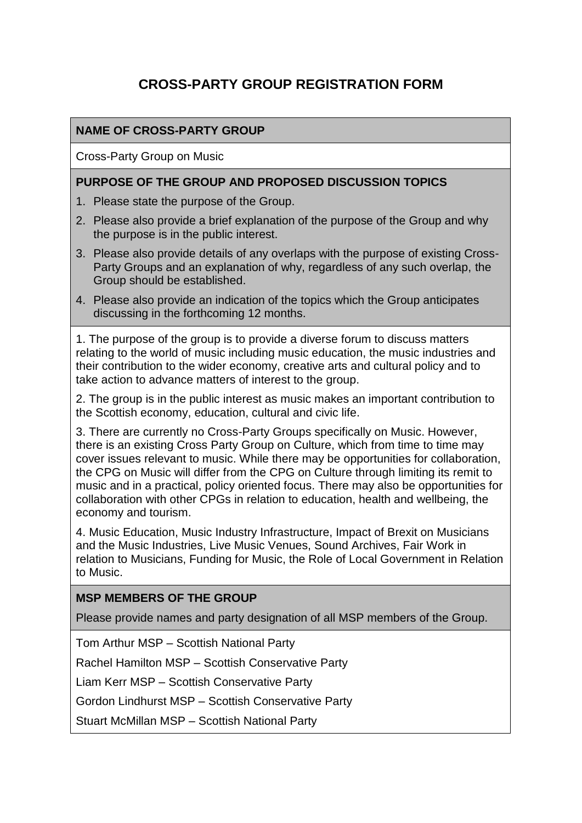# **CROSS-PARTY GROUP REGISTRATION FORM**

## **NAME OF CROSS-PARTY GROUP**

Cross-Party Group on Music

#### **PURPOSE OF THE GROUP AND PROPOSED DISCUSSION TOPICS**

- 1. Please state the purpose of the Group.
- 2. Please also provide a brief explanation of the purpose of the Group and why the purpose is in the public interest.
- 3. Please also provide details of any overlaps with the purpose of existing Cross-Party Groups and an explanation of why, regardless of any such overlap, the Group should be established.
- 4. Please also provide an indication of the topics which the Group anticipates discussing in the forthcoming 12 months.

1. The purpose of the group is to provide a diverse forum to discuss matters relating to the world of music including music education, the music industries and their contribution to the wider economy, creative arts and cultural policy and to take action to advance matters of interest to the group.

2. The group is in the public interest as music makes an important contribution to the Scottish economy, education, cultural and civic life.

3. There are currently no Cross-Party Groups specifically on Music. However, there is an existing Cross Party Group on Culture, which from time to time may cover issues relevant to music. While there may be opportunities for collaboration, the CPG on Music will differ from the CPG on Culture through limiting its remit to music and in a practical, policy oriented focus. There may also be opportunities for collaboration with other CPGs in relation to education, health and wellbeing, the economy and tourism.

4. Music Education, Music Industry Infrastructure, Impact of Brexit on Musicians and the Music Industries, Live Music Venues, Sound Archives, Fair Work in relation to Musicians, Funding for Music, the Role of Local Government in Relation to Music.

#### **MSP MEMBERS OF THE GROUP**

Please provide names and party designation of all MSP members of the Group.

Tom Arthur MSP – Scottish National Party

Rachel Hamilton MSP – Scottish Conservative Party

Liam Kerr MSP – Scottish Conservative Party

Gordon Lindhurst MSP – Scottish Conservative Party

Stuart McMillan MSP – Scottish National Party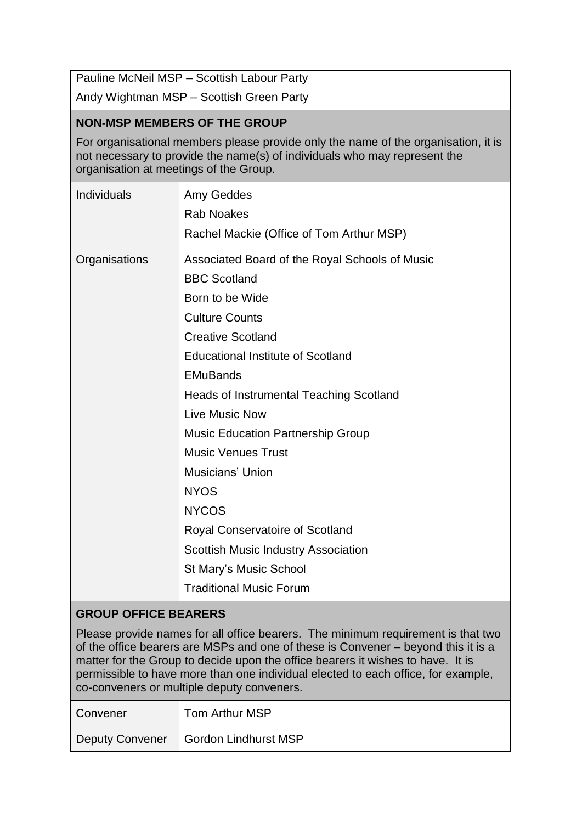Pauline McNeil MSP – Scottish Labour Party

Andy Wightman MSP – Scottish Green Party

#### **NON-MSP MEMBERS OF THE GROUP**

For organisational members please provide only the name of the organisation, it is not necessary to provide the name(s) of individuals who may represent the organisation at meetings of the Group.

| Individuals                 | <b>Amy Geddes</b><br><b>Rab Noakes</b>         |  |
|-----------------------------|------------------------------------------------|--|
|                             | Rachel Mackie (Office of Tom Arthur MSP)       |  |
| Organisations               | Associated Board of the Royal Schools of Music |  |
|                             | <b>BBC Scotland</b>                            |  |
|                             | Born to be Wide                                |  |
|                             | <b>Culture Counts</b>                          |  |
|                             | <b>Creative Scotland</b>                       |  |
|                             | <b>Educational Institute of Scotland</b>       |  |
|                             | <b>EMuBands</b>                                |  |
|                             | <b>Heads of Instrumental Teaching Scotland</b> |  |
|                             | Live Music Now                                 |  |
|                             | <b>Music Education Partnership Group</b>       |  |
|                             | <b>Music Venues Trust</b>                      |  |
|                             | <b>Musicians' Union</b>                        |  |
|                             | <b>NYOS</b>                                    |  |
|                             | <b>NYCOS</b>                                   |  |
|                             | Royal Conservatoire of Scotland                |  |
|                             | <b>Scottish Music Industry Association</b>     |  |
|                             | St Mary's Music School                         |  |
|                             | <b>Traditional Music Forum</b>                 |  |
| <b>GROUP OFFICE BEARERS</b> |                                                |  |

Please provide names for all office bearers. The minimum requirement is that two of the office bearers are MSPs and one of these is Convener – beyond this it is a matter for the Group to decide upon the office bearers it wishes to have. It is permissible to have more than one individual elected to each office, for example, co-conveners or multiple deputy conveners.

| Convener               | Tom Arthur MSP       |
|------------------------|----------------------|
| <b>Deputy Convener</b> | Gordon Lindhurst MSP |